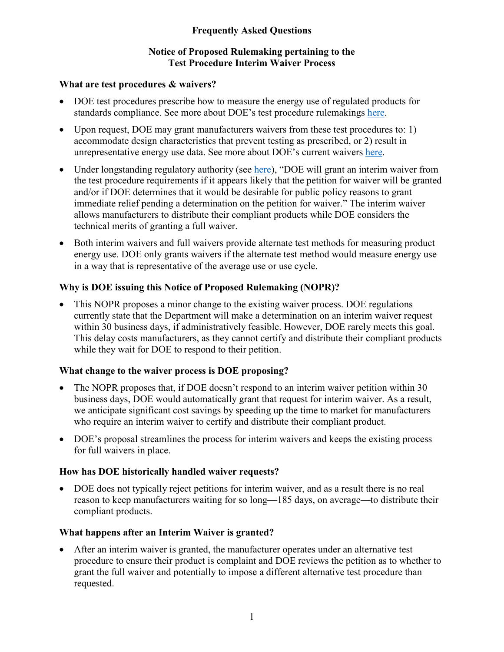# **Frequently Asked Questions**

## **Notice of Proposed Rulemaking pertaining to the Test Procedure Interim Waiver Process**

#### **What are test procedures & waivers?**

- DOE test procedures prescribe how to measure the energy use of regulated products for standards compliance. See more about DOE's test procedure rulemakings [here.](https://www.energy.gov/eere/buildings/standards-and-test-procedures)
- Upon request, DOE may grant manufacturers waivers from these test procedures to: 1) accommodate design characteristics that prevent testing as prescribed, or 2) result in unrepresentative energy use data. See more about DOE's current waivers [here.](https://www.energy.gov/eere/buildings/current-test-procedure-waivers)
- Under longstanding regulatory authority (see [here\)](https://www.ecfr.gov/cgi-bin/text-idx?SID=768ff2742d30d33f7a8093ead2c9fd64&mc=true&node=se10.3.430_127&rgn=div8), "DOE will grant an interim waiver from the test procedure requirements if it appears likely that the petition for waiver will be granted and/or if DOE determines that it would be desirable for public policy reasons to grant immediate relief pending a determination on the petition for waiver." The interim waiver allows manufacturers to distribute their compliant products while DOE considers the technical merits of granting a full waiver.
- Both interim waivers and full waivers provide alternate test methods for measuring product energy use. DOE only grants waivers if the alternate test method would measure energy use in a way that is representative of the average use or use cycle.

## **Why is DOE issuing this Notice of Proposed Rulemaking (NOPR)?**

• This NOPR proposes a minor change to the existing waiver process. DOE regulations currently state that the Department will make a determination on an interim waiver request within 30 business days, if administratively feasible. However, DOE rarely meets this goal. This delay costs manufacturers, as they cannot certify and distribute their compliant products while they wait for DOE to respond to their petition.

## **What change to the waiver process is DOE proposing?**

- The NOPR proposes that, if DOE doesn't respond to an interim waiver petition within 30 business days, DOE would automatically grant that request for interim waiver. As a result, we anticipate significant cost savings by speeding up the time to market for manufacturers who require an interim waiver to certify and distribute their compliant product.
- DOE's proposal streamlines the process for interim waivers and keeps the existing process for full waivers in place.

## **How has DOE historically handled waiver requests?**

• DOE does not typically reject petitions for interim waiver, and as a result there is no real reason to keep manufacturers waiting for so long—185 days, on average—to distribute their compliant products.

## **What happens after an Interim Waiver is granted?**

After an interim waiver is granted, the manufacturer operates under an alternative test procedure to ensure their product is complaint and DOE reviews the petition as to whether to grant the full waiver and potentially to impose a different alternative test procedure than requested.